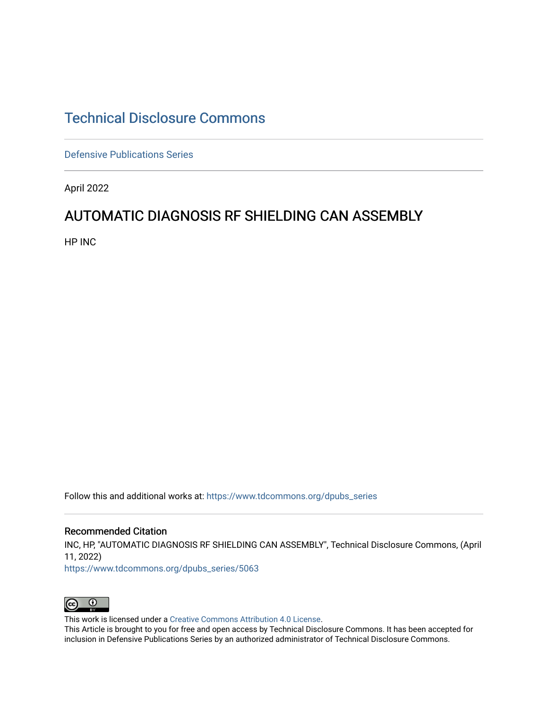### [Technical Disclosure Commons](https://www.tdcommons.org/)

[Defensive Publications Series](https://www.tdcommons.org/dpubs_series)

April 2022

### AUTOMATIC DIAGNOSIS RF SHIELDING CAN ASSEMBLY

HP INC

Follow this and additional works at: [https://www.tdcommons.org/dpubs\\_series](https://www.tdcommons.org/dpubs_series?utm_source=www.tdcommons.org%2Fdpubs_series%2F5063&utm_medium=PDF&utm_campaign=PDFCoverPages) 

#### Recommended Citation

INC, HP, "AUTOMATIC DIAGNOSIS RF SHIELDING CAN ASSEMBLY", Technical Disclosure Commons, (April 11, 2022)

[https://www.tdcommons.org/dpubs\\_series/5063](https://www.tdcommons.org/dpubs_series/5063?utm_source=www.tdcommons.org%2Fdpubs_series%2F5063&utm_medium=PDF&utm_campaign=PDFCoverPages)



This work is licensed under a [Creative Commons Attribution 4.0 License](http://creativecommons.org/licenses/by/4.0/deed.en_US).

This Article is brought to you for free and open access by Technical Disclosure Commons. It has been accepted for inclusion in Defensive Publications Series by an authorized administrator of Technical Disclosure Commons.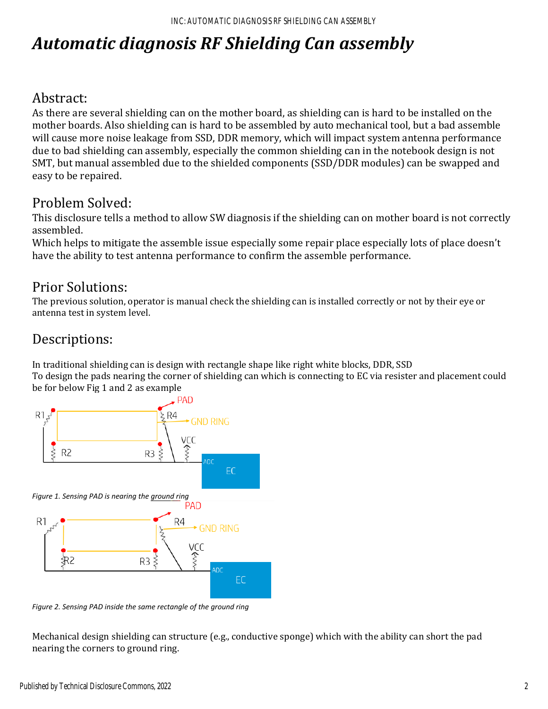# *Automatic diagnosis RF Shielding Can assembly*

# Abstract:

As there are several shielding can on the mother board, as shielding can is hard to be installed on the mother boards. Also shielding can is hard to be assembled by auto mechanical tool, but a bad assemble will cause more noise leakage from SSD, DDR memory, which will impact system antenna performance due to bad shielding can assembly, especially the common shielding can in the notebook design is not SMT, but manual assembled due to the shielded components (SSD/DDR modules) can be swapped and easy to be repaired.

## Problem Solved:

This disclosure tells a method to allow SW diagnosis if the shielding can on mother board is not correctly assembled.

Which helps to mitigate the assemble issue especially some repair place especially lots of place doesn't have the ability to test antenna performance to confirm the assemble performance.

# Prior Solutions:

The previous solution, operator is manual check the shielding can is installed correctly or not by their eye or antenna test in system level.

# Descriptions:

In traditional shielding can is design with rectangle shape like right white blocks, DDR, SSD To design the pads nearing the corner of shielding can which is connecting to EC via resister and placement could be for below Fig 1 and 2 as example



*Figure 2. Sensing PAD inside the same rectangle of the ground ring*

Mechanical design shielding can structure (e.g., conductive sponge) which with the ability can short the pad nearing the corners to ground ring.